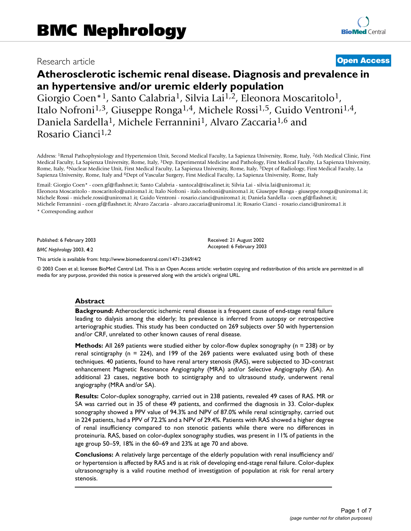# Research article **[Open Access](http://www.biomedcentral.com/info/about/charter/)**

# **Atherosclerotic ischemic renal disease. Diagnosis and prevalence in an hypertensive and/or uremic elderly population**

Giorgio Coen<sup>\*1</sup>, Santo Calabria<sup>1</sup>, Silvia Lai<sup>1,2</sup>, Eleonora Moscaritolo<sup>1</sup>, Italo Nofroni1,3, Giuseppe Ronga1,4, Michele Rossi1,5, Guido Ventroni1,4, Daniela Sardella1, Michele Ferrannini1, Alvaro Zaccaria1,6 and Rosario Cianci1,2

Address: 1Renal Pathophysiology and Hypertension Unit, Second Medical Faculty, La Sapienza University, Rome, Italy, 26th Medical Clinic, First Medical Faculty, La Sapienza University, Rome, Italy, 3Dep. Experimental Medicine and Pathology, First Medical Faculty, La Sapienza University, Rome, Italy, 4Nuclear Medicine Unit, First Medical Faculty, La Sapienza University, Rome, Italy, 5Dept of Radiology, First Medical Faculty, La Sapienza University, Rome, Italy and <sup>6</sup>Dept of Vascular Surgery, First Medical Faculty, La Sapienza University, Rome, Italy

Email: Giorgio Coen\* - coen.gf@flashnet.it; Santo Calabria - santocal@tiscalinet.it; Silvia Lai - silvia.lai@uniroma1.it; Eleonora Moscaritolo - moscaritolo@uniroma1.it; Italo Nofroni - italo.nofroni@uniroma1.it; Giuseppe Ronga - giuseppe.ronga@uniroma1.it; Michele Rossi - michele.rossi@uniroma1.it; Guido Ventroni - rosario.cianci@uniroma1.it; Daniela Sardella - coen.gf@flashnet.it; Michele Ferrannini - coen.gf@flashnet.it; Alvaro Zaccaria - alvaro.zaccaria@uniroma1.it; Rosario Cianci - rosario.cianci@uniroma1.it \* Corresponding author

Published: 6 February 2003

*BMC Nephrology* 2003, **4**:2

[This article is available from: http://www.biomedcentral.com/1471-2369/4/2](http://www.biomedcentral.com/1471-2369/4/2)

© 2003 Coen et al; licensee BioMed Central Ltd. This is an Open Access article: verbatim copying and redistribution of this article are permitted in all media for any purpose, provided this notice is preserved along with the article's original URL.

Received: 21 August 2002 Accepted: 6 February 2003

#### **Abstract**

**Background:** Atherosclerotic ischemic renal disease is a frequent cause of end-stage renal failure leading to dialysis among the elderly; Its prevalence is inferred from autopsy or retrospective arteriographic studies. This study has been conducted on 269 subjects over 50 with hypertension and/or CRF, unrelated to other known causes of renal disease.

**Methods:** All 269 patients were studied either by color-flow duplex sonography (n = 238) or by renal scintigraphy ( $n = 224$ ), and 199 of the 269 patients were evaluated using both of these techniques. 40 patients, found to have renal artery stenosis (RAS), were subjected to 3D-contrast enhancement Magnetic Resonance Angiography (MRA) and/or Selective Angiography (SA). An additional 23 cases, negative both to scintigraphy and to ultrasound study, underwent renal angiography (MRA and/or SA).

**Results:** Color-duplex sonography, carried out in 238 patients, revealed 49 cases of RAS. MR or SA was carried out in 35 of these 49 patients, and confirmed the diagnosis in 33. Color-duplex sonography showed a PPV value of 94.3% and NPV of 87.0% while renal scintigraphy, carried out in 224 patients, had a PPV of 72.2% and a NPV of 29.4%. Patients with RAS showed a higher degree of renal insufficiency compared to non stenotic patients while there were no differences in proteinuria. RAS, based on color-duplex sonography studies, was present in 11% of patients in the age group 50–59, 18% in the 60–69 and 23% at age 70 and above.

**Conclusions:** A relatively large percentage of the elderly population with renal insufficiency and/ or hypertension is affected by RAS and is at risk of developing end-stage renal failure. Color-duplex ultrasonography is a valid routine method of investigation of population at risk for renal artery stenosis.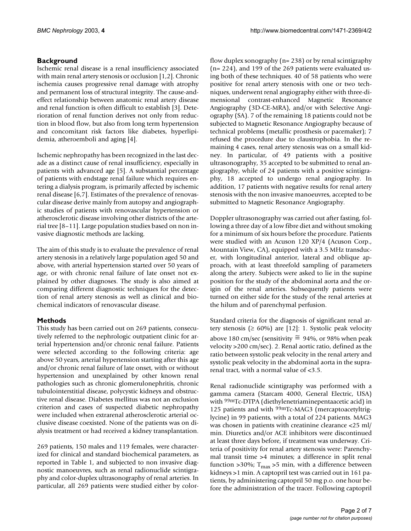# **Background**

Ischemic renal disease is a renal insufficiency associated with main renal artery stenosis or occlusion [1,2]. Chronic ischemia causes progressive renal damage with atrophy and permanent loss of structural integrity. The cause-andeffect relationship between anatomic renal artery disease and renal function is often difficult to establish [3]. Deterioration of renal function derives not only from reduction in blood flow, but also from long term hypertension and concomitant risk factors like diabetes, hyperlipidemia, atheroemboli and aging [4].

Ischemic nephropathy has been recognized in the last decade as a distinct cause of renal insufficiency, especially in patients with advanced age [5]. A substantial percentage of patients with endstage renal failure which requires entering a dialysis program, is primarily affected by ischemic renal disease [6,7]. Estimates of the prevalence of renovascular disease derive mainly from autopsy and angiographic studies of patients with renovascular hypertension or atherosclerotic disease involving other districts of the arterial tree [8–11]. Large population studies based on non invasive diagnostic methods are lacking.

The aim of this study is to evaluate the prevalence of renal artery stenosis in a relatively large population aged 50 and above, with arterial hypertension started over 50 years of age, or with chronic renal failure of late onset not explained by other diagnoses. The study is also aimed at comparing different diagnostic techniques for the detection of renal artery stenosis as well as clinical and biochemical indicators of renovascular disease.

# **Methods**

This study has been carried out on 269 patients, consecutively referred to the nephrologic outpatient clinic for arterial hypertension and/or chronic renal failure. Patients were selected according to the following criteria: age above 50 years, arterial hypertension starting after this age and/or chronic renal failure of late onset, with or without hypertension and unexplained by other known renal pathologies such as chronic glomerulonephritis, chronic tubulointerstitial disease, polycystic kidneys and obstructive renal disease. Diabetes mellitus was not an exclusion criterion and cases of suspected diabetic nephropathy were included when extrarenal atherosclerotic arterial occlusive disease coexisted. None of the patients was on dialysis treatment or had received a kidney transplantation.

269 patients, 150 males and 119 females, were characterized for clinical and standard biochemical parameters, as reported in Table [1,](#page-2-0) and subjected to non invasive diagnostic manoeuvres, such as renal radionuclide scintigraphy and color-duplex ultrasonography of renal arteries. In particular, all 269 patients were studied either by colorflow duplex sonography (n= 238) or by renal scintigraphy (n= 224), and 199 of the 269 patients were evaluated using both of these techniques. 40 of 58 patients who were positive for renal artery stenosis with one or two techniques, underwent renal angiography either with three-dimensional contrast-enhanced Magnetic Resonance Angiography (3D-CE-MRA), and/or with Selective Angiography (SA). 7 of the remaining 18 patients could not be subjected to Magnetic Resonance Angiography because of technical problems (metallic prosthesis or pacemaker); 7 refused the procedure due to claustrophobia. In the remaining 4 cases, renal artery stenosis was on a small kidney. In particular, of 49 patients with a positive ultrasonography, 35 accepted to be submitted to renal angiography, while of 24 patients with a positive scintigraphy, 18 accepted to undergo renal angiography. In addition, 17 patients with negative results for renal artery stenosis with the non invasive manoeuvres, accepted to be submitted to Magnetic Resonance Angiography.

Doppler ultrasonography was carried out after fasting, following a three day of a low fibre diet and without smoking for a minimum of six hours before the procedure. Patients were studied with an Acuson 120 XP/4 (Acuson Corp., Mountain View, CA), equipped with a 3.5 MHz transducer, with longitudinal anterior, lateral and oblique approach, with at least threefold sampling of parameters along the artery. Subjects were asked to lie in the supine position for the study of the abdominal aorta and the origin of the renal arteries. Subsequently patients were turned on either side for the study of the renal arteries at the hilum and of parenchymal perfusion.

Standard criteria for the diagnosis of significant renal artery stenosis ( $\geq 60\%$ ) are [12]: 1. Systolic peak velocity above 180 cm/sec (sensitivity  $\approx$  94%, or 98% when peak velocity >200 cm/sec). 2. Renal aortic ratio, defined as the ratio between systolic peak velocity in the renal artery and systolic peak velocity in the abdominal aorta in the suprarenal tract, with a normal value of <3.5.

Renal radionuclide scintigraphy was performed with a gamma camera (Starcam 4000, General Electric, USA) with 99mTc-DTPA (diethylenetriaminepentaacetic acid) in 125 patients and with 99mTc-MAG3 (mercaptoacetyltriglycine) in 99 patients, with a total of 224 patients. MAG3 was chosen in patients with creatinine clearance <25 ml/ min. Diuretics and/or ACE inhibitors were discontinued at least three days before, if treatment was underway. Criteria of positivity for renal artery stenosis were: Parenchymal transit time >4 minutes; a difference in split renal function >30%;  $T_{\text{max}}$  >5 min, with a difference between kidneys >1 min. A captopril test was carried out in 161 patients, by administering captopril 50 mg p.o. one hour before the administration of the tracer. Following captopril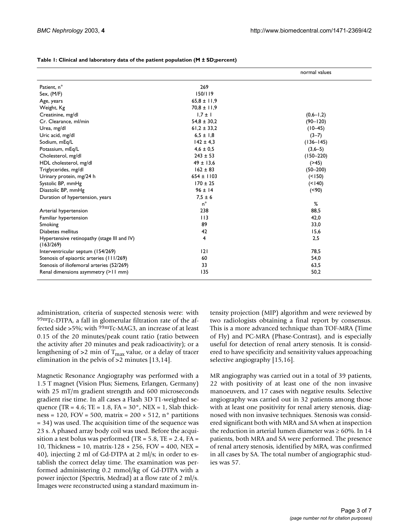|                                                          |                 | normal values |
|----------------------------------------------------------|-----------------|---------------|
| Patient, n°                                              | 269             |               |
| Sex, $(M/F)$                                             | 150/119         |               |
| Age, years                                               | $65.8 \pm 11.9$ |               |
| Weight, Kg                                               | $70.8 \pm 11.9$ |               |
| Creatinine, mg/dl                                        | $1,7 \pm 1$     | $(0,6-1,2)$   |
| Cr. Clearance, ml/min                                    | $54.8 \pm 30.2$ | $(90 - 120)$  |
| Urea, mg/dl                                              | $61,2 \pm 33,2$ | $(10-45)$     |
| Uric acid, mg/dl                                         | $6.5 \pm 1.8$   | $(3-7)$       |
| Sodium, mEq/L                                            | $142 \pm 4.3$   | $(136 - 145)$ |
| Potassium, mEq/L                                         | $4,6 \pm 0.5$   | $(3,6-5)$     |
| Cholesterol, mg/dl                                       | $243 \pm 53$    | $(150 - 220)$ |
| HDL cholesterol, mg/dl                                   | $49 \pm 13,6$   | (245)         |
| Triglycerides, mg/dl                                     | $162 \pm 83$    | $(50 - 200)$  |
| Urinary protein, mg/24 h                                 | $654 \pm 1103$  | (< 150)       |
| Systolic BP, mmHg                                        | $170 \pm 25$    | (< 140)       |
| Diastolic BP, mmHg                                       | $96 \pm 14$     | (< 90)        |
| Duration of hypertension, years                          | $7.5 \pm 6$     |               |
|                                                          | $n^{\circ}$     | %             |
| Arterial hypertension                                    | 238             | 88,5          |
| Familiar hypertension                                    | 113             | 42,0          |
| Smoking                                                  | 89              | 33,0          |
| Diabetes mellitus                                        | 42              | 15,6          |
| Hypertensive retinopathy (stage III and IV)<br>(163/269) | 4               | 2,5           |
| Interventricular septum (154/269)                        | 2               | 78,5          |
| Stenosis of epiaortic arteries (111/269)                 | 60              | 54,0          |
| Stenosis of iliofemoral arteries (52/269)                | 33              | 63,5          |
| Renal dimensions asymmetry (>11 mm)                      | 135             | 50,2          |

<span id="page-2-0"></span>

| Table 1: Clinical and laboratory data of the patient population (M ± SD;percent) |
|----------------------------------------------------------------------------------|
|                                                                                  |

administration, criteria of suspected stenosis were: with 99mTc-DTPA, a fall in glomerular filtration rate of the affected side >5%; with  $99mTc-MAG3$ , an increase of at least 0.15 of the 20 minutes/peak count ratio (ratio between the activity after 20 minutes and peak radioactivity); or a lengthening of  $>2$  min of T<sub>max</sub> value, or a delay of tracer elimination in the pelvis of >2 minutes [13,14].

Magnetic Resonance Angiography was performed with a 1.5 T magnet (Vision Plus; Siemens, Erlangen, Germany) with 25 mT/m gradient strengtth and 600 microseconds gradient rise time. In all cases a Flash 3D T1-weighted sequence (TR = 4.6; TE = 1.8, FA =  $30^{\circ}$ , NEX = 1, Slab thickness = 120, FOV = 500, matrix =  $200 \times 512$ , n° partitions = 34) was used. The acquisition time of the sequence was 23 s. A phased array body coil was used. Before the acquisition a test bolus was performed (TR =  $5.8$ , TE =  $2.4$ , FA = 10, Thickness = 10, matrix-128 × 256, FOV = 400, NEX = 40), injecting 2 ml of Gd-DTPA at 2 ml/s; in order to establish the correct delay time. The examination was performed administering 0.2 mmol/kg of Gd-DTPA with a power injector (Spectris, Medrad) at a flow rate of 2 ml/s. Images were reconstructed using a standard maximum intensity projection (MIP) algorithm and were reviewed by two radiologists obtaining a final report by consensus. This is a more advanced technique than TOF-MRA (Time of Fly) and PC-MRA (Phase-Contrast), and is especially useful for detection of renal artery stenosis. It is considered to have specificity and sensitivity values approaching selective angiography [15,16].

MR angiography was carried out in a total of 39 patients, 22 with positivity of at least one of the non invasive manoeuvers, and 17 cases with negative results. Selective angiography was carried out in 32 patients among those with at least one positivity for renal artery stenosis, diagnosed with non invasive techniques. Stenosis was considered significant both with MRA and SA when at inspection the reduction in arterial lumen diameter was  $\geq 60\%$ . In 14 patients, both MRA and SA were performed. The presence of renal artery stenosis, identified by MRA, was confirmed in all cases by SA. The total number of angiographic studies was 57.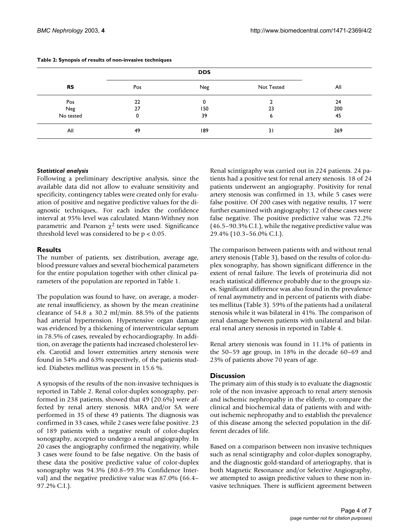|           | <b>DDS</b> |     |            |     |
|-----------|------------|-----|------------|-----|
| <b>RS</b> | Pos        | Neg | Not Tested | All |
| Pos       | 22         | 0   |            | 24  |
| Neg       | 27         | 150 | 23         | 200 |
| No tested | 0          | 39  | o          | 45  |
| All       | 49         | 189 | 31         | 269 |

#### <span id="page-3-0"></span>**Table 2: Synopsis of results of non-invasive techniques**

#### *Statistical analysis*

Following a preliminary descriptive analysis, since the available data did not allow to evaluate sensitivity and specificity, contingency tables were created only for evaluation of positive and negative predictive values for the diagnostic techniques,. For each index the confidence interval at 95% level was calculated. Mann-Withney non parametric and Pearson  $\chi^2$  tests were used. Significance threshold level was considered to be  $p < 0.05$ .

#### **Results**

The number of patients, sex distribution, average age, blood pressure values and several biochemical parameters for the entire population together with other clinical parameters of the population are reported in Table [1.](#page-2-0)

The population was found to have, on average, a moderate renal insufficiency, as shown by the mean creatinine clearance of  $54.8 \pm 30.2$  ml/min. 88.5% of the patients had arterial hypertension. Hypertensive organ damage was evidenced by a thickening of interventricular septum in 78.5% of cases, revealed by echocardiography. In addition, on average the patients had increased cholesterol levels. Carotid and lower extremities artery stenosis were found in 54% and 63% respectively, of the patients studied. Diabetes mellitus was present in 15.6 %.

A synopsis of the results of the non-invasive techniques is reported in Table [2](#page-3-0). Renal color-duplex sonography, performed in 238 patients, showed that 49 (20.6%) were affected by renal artery stenosis. MRA and/or SA were performed in 35 of these 49 patients. The diagnosis was confirmed in 33 cases, while 2 cases were false positive. 23 of 189 patients with a negative result of color-duplex sonography, accepted to undergo a renal angiography. In 20 cases the angiography confirmed the negativity, while 3 cases were found to be false negative. On the basis of these data the positive predictive value of color-duplex sonography was 94.3% (80.8–99.3% Confidence Interval) and the negative predictive value was 87.0% (66.4– 97.2% C.I.).

Renal scintigraphy was carried out in 224 patients. 24 patients had a positive test for renal artery stenosis. 18 of 24 patients underwent an angiography. Positivity for renal artery stenosis was confirmed in 13, while 5 cases were false positive. Of 200 cases with negative results, 17 were further examined with angiography; 12 of these cases were false negative. The positive predictive value was 72.2% (46.5–90.3% C.I.), while the negative predictive value was 29.4% (10.3–56.0% C.I.).

The comparison between patients with and without renal artery stenosis (Table [3\)](#page-4-0), based on the results of color-duplex sonography, has shown significant difference in the extent of renal failure. The levels of proteinuria did not reach statistical difference probably due to the groups sizes. Significant difference was also found in the prevalence of renal asymmetry and in percent of patients with diabetes mellitus (Table [3](#page-4-0)). 59% of the patients had a unilateral stenosis while it was bilateral in 41%. The comparison of renal damage between patients with unilateral and bilateral renal artery stenosis in reported in Table [4](#page-5-0).

Renal artery stenosis was found in 11.1% of patients in the 50–59 age group, in 18% in the decade 60–69 and 23% of patients above 70 years of age.

#### **Discussion**

The primary aim of this study is to evaluate the diagnostic role of the non invasive approach to renal artery stenosis and ischemic nephropathy in the elderly, to compare the clinical and biochemical data of patients with and without ischemic nephropathy and to establish the prevalence of this disease among the selected population in the different decades of life.

Based on a comparison between non invasive techniques such as renal scintigraphy and color-duplex sonography, and the diagnostic gold-standard of arteriography, that is both Magnetic Resonance and/or Selective Angiography, we attempted to assign predictive values to these non invasive techniques. There is sufficient agreement between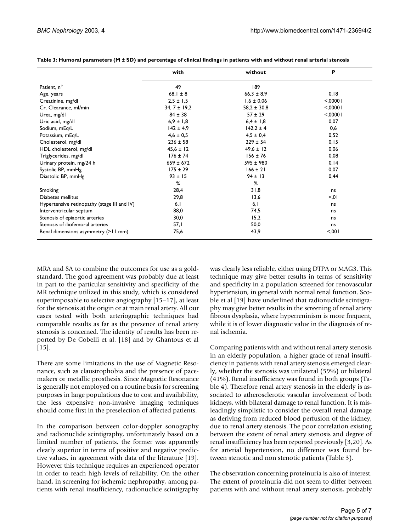|                                             | with             | without         | P        |
|---------------------------------------------|------------------|-----------------|----------|
| Patient, n°                                 | 49               | 189             |          |
| Age, years                                  | $68,1 \pm 8$     | $66,3 \pm 8,9$  | 0, 18    |
| Creatinine, mg/dl                           | $2,5 \pm 1,5$    | $1,6 \pm 0,06$  | < 0.0001 |
| Cr. Clearance, ml/min                       | $34, 7 \pm 19,2$ | $58,2 \pm 30,8$ | < 0.0001 |
| Urea, mg/dl                                 | $84 \pm 38$      | $57 \pm 29$     | < 00001  |
| Uric acid, mg/dl                            | $6,9 \pm 1,8$    | $6,4 \pm 1,8$   | 0,07     |
| Sodium, mEq/L                               | $142 \pm 4.9$    | $142.2 \pm 4$   | 0,6      |
| Potassium, mEq/L                            | $4.6 \pm 0.5$    | $4.5 \pm 0.4$   | 0,52     |
| Cholesterol, mg/dl                          | $236 \pm 58$     | $229 \pm 54$    | 0, 15    |
| HDL cholesterol, mg/dl                      | $45.6 \pm 12$    | $49.6 \pm 12$   | 0,06     |
| Triglycerides, mg/dl                        | $176 \pm 74$     | $156 \pm 76$    | 0,08     |
| Urinary protein, mg/24 h                    | $659 \pm 672$    | $595 \pm 980$   | 0, 14    |
| Systolic BP, mmHg                           | $175 \pm 29$     | $166 \pm 21$    | 0,07     |
| Diastolic BP, mmHg                          | $93 \pm 15$      | $94 \pm 13$     | 0,44     |
|                                             | %                | %               |          |
| Smoking                                     | 28,4             | 31,8            | ns       |
| Diabetes mellitus                           | 29,8             | 13,6            | < 0.01   |
| Hypertensive retinopathy (stage III and IV) | 6,1              | 6,1             | ns       |
| Interventricular septum                     | 88,0             | 74,5            | ns       |
| Stenosis of epiaortic arteries              | 30,0             | 15,2            | ns       |
| Stenosis of iliofemoral arteries            | 57,1             | 50,0            | ns       |
| Renal dimensions asymmetry (>11 mm)         | 75,6             | 43,9            | < 0.01   |

<span id="page-4-0"></span>**Table 3: Humoral parameters (M ± SD) and percentage of clinical findings in patients with and without renal arterial stenosis**

MRA and SA to combine the outcomes for use as a goldstandard. The good agreement was probably due at least in part to the particular sensitivity and specificity of the MR technique utilized in this study, which is considered superimposable to selective angiography [15–17], at least for the stenosis at the origin or at main renal artery. All our cases tested with both arteriographic techniques had comparable results as far as the presence of renal artery stenosis is concerned. The identity of results has been reported by De Cobelli et al. [18] and by Ghantous et al [15].

There are some limitations in the use of Magnetic Resonance, such as claustrophobia and the presence of pacemakers or metallic prosthesis. Since Magnetic Resonance is generally not employed on a routine basis for screening purposes in large populations due to cost and availability, the less expensive non-invasive imaging techniques should come first in the preselection of affected patients.

In the comparison between color-doppler sonography and radionuclide scintigraphy, unfortunately based on a limited number of patients, the former was apparently clearly superior in terms of positive and negative predictive values, in agreement with data of the literature [19]. However this technique requires an experienced operator in order to reach high levels of reliability. On the other hand, in screening for ischemic nephropathy, among patients with renal insufficiency, radionuclide scintigraphy was clearly less reliable, either using DTPA or MAG3. This technique may give better results in terms of sensitivity and specificity in a population screened for renovascular hypertension, in general with normal renal function. Scoble et al [19] have underlined that radionuclide scintigraphy may give better results in the screening of renal artery fibrous dysplasia, where hyperreninism is more frequent, while it is of lower diagnostic value in the diagnosis of renal ischemia.

Comparing patients with and without renal artery stenosis in an elderly population, a higher grade of renal insufficiency in patients with renal artery stenosis emerged clearly, whether the stenosis was unilateral (59%) or bilateral (41%). Renal insufficiency was found in both groups (Table [4](#page-5-0)). Therefore renal artery stenosis in the elderly is associated to atherosclerotic vascular involvement of both kidneys, with bilateral damage to renal function. It is misleadingly simplistic to consider the overall renal damage as deriving from reduced blood perfusion of the kidney, due to renal artery stenosis. The poor correlation existing between the extent of renal artery stenosis and degree of renal insufficiency has been reported previously [3,20]. As for arterial hypertension, no difference was found between stenotic and non stenotic patients (Table [3](#page-4-0)).

The observation concerning proteinuria is also of interest. The extent of proteinuria did not seem to differ between patients with and without renal artery stenosis, probably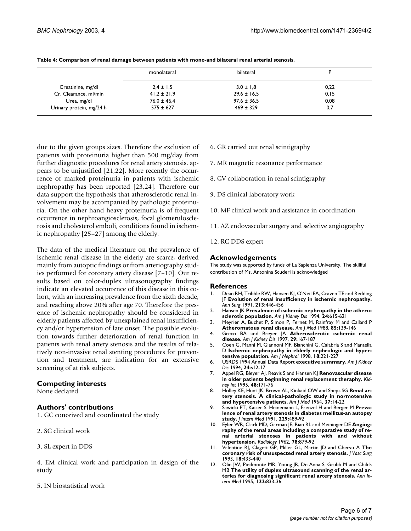|                          | monolateral     | bilateral       | D     |
|--------------------------|-----------------|-----------------|-------|
| Creatinine, mg/dl        | $2.4 \pm 1.5$   | $3.0 \pm 1.8$   | 0,22  |
| Cr. Clearance, ml/min    | $41,2 \pm 21,9$ | $29.6 \pm 16.5$ | 0, 15 |
| Urea, mg/dl              | $76.0 \pm 46.4$ | $97.6 \pm 36.5$ | 0,08  |
| Urinary protein, mg/24 h | $575 \pm 627$   | $469 \pm 329$   | 0,7   |

<span id="page-5-0"></span>**Table 4: Comparison of renal damage between patients with mono-and bilateral renal arterial stenosis.**

due to the given groups sizes. Therefore the exclusion of patients with proteinuria higher than 500 mg/day from further diagnostic procedures for renal artery stenosis, appears to be unjustified [21,22]. More recently the occurrence of marked proteinuria in patients with ischemic nephropathy has been reported [23,24]. Therefore our data support the hypothesis that atherosclerotic renal involvement may be accompanied by pathologic proteinuria. On the other hand heavy proteinuria is of frequent occurrence in nephroangiosclerosis, focal glomerulosclerosis and cholesterol emboli, conditions found in ischemic nephropathy [25–27] among the elderly.

The data of the medical literature on the prevalence of ischemic renal disease in the elderly are scarce, derived mainly from autoptic findings or from arteriography studies performed for coronary artery disease [7–10]. Our results based on color-duplex ultrasonography findings indicate an elevated occurrence of this disease in this cohort, with an increasing prevalence from the sixth decade, and reaching above 20% after age 70. Therefore the presence of ischemic nephropathy should be considered in elderly patients affected by unexplained renal insufficiency and/or hypertension of late onset. The possible evolution towards further deterioration of renal function in patients with renal artery stenosis and the results of relatively non-invasive renal stenting procedures for prevention and treatment, are indication for an extensive screening of at risk subjects.

#### **Competing interests**

None declared

#### **Authors' contributions**

1. GC conceived and coordinated the study

- 2. SC clinical work
- 3. SL expert in DDS

4. EM clinical work and participation in design of the study

5. IN biostatistical work

- 6. GR carried out renal scintigraphy
- 7. MR magnetic resonance performance
- 8. GV collaboration in renal scintigraphy
- 9. DS clinical laboratory work
- 10. MF clinical work and assistance in coordination
- 11. AZ endovascular surgery and selective angiography
- 12. RC DDS expert

#### **Acknowledgements**

The study was supported by funds of La Sapienza University. The skillful contribution of Ms. Antonina Scuderi is acknowledged

#### **References**

- 1. Dean RH, Tribble RW, Hansen KJ, O'Neil EA, Craven TE and Redding JF **[Evolution of renal insufficiency in ischemic nephropathy.](http://www.ncbi.nlm.nih.gov/entrez/query.fcgi?cmd=Retrieve&db=PubMed&dopt=Abstract&list_uids=2025065)** *Ann Surg* 1991, **213:**446-456
- 2. Hansen JK **[Prevalence of ischemic nephropathy in the athero](http://www.ncbi.nlm.nih.gov/entrez/query.fcgi?cmd=Retrieve&db=PubMed&dopt=Abstract&list_uids=7942819)[sclerotic population.](http://www.ncbi.nlm.nih.gov/entrez/query.fcgi?cmd=Retrieve&db=PubMed&dopt=Abstract&list_uids=7942819)** *Am J Kidney Dis* 1994, **24:**615-621
- 3. Meyrier A, Buchet P, Simon P, Fernet M, Rainfray M and Callard P **[Atheromatous renal disease.](http://www.ncbi.nlm.nih.gov/entrez/query.fcgi?cmd=Retrieve&db=PubMed&dopt=Abstract&list_uids=3400690)** *Am J Med* 1988, **85:**139-146
- 4. Greco BA and Breyer JA **[Atherosclerotic ischemic renal](http://www.ncbi.nlm.nih.gov/entrez/query.fcgi?cmd=Retrieve&db=PubMed&dopt=Abstract&list_uids=9016887) [disease.](http://www.ncbi.nlm.nih.gov/entrez/query.fcgi?cmd=Retrieve&db=PubMed&dopt=Abstract&list_uids=9016887)** *Am J Kidney Dis* 1997, **29:**167-187
- 5. Coen G, Manni M, Giannoni MF, Bianchini G, Calabria S and Mantella D **[Ischemic nephropathy in elderly nephrologic and hyper](http://www.ncbi.nlm.nih.gov/entrez/query.fcgi?cmd=Retrieve&db=PubMed&dopt=Abstract&list_uids=9627038)[tensive population.](http://www.ncbi.nlm.nih.gov/entrez/query.fcgi?cmd=Retrieve&db=PubMed&dopt=Abstract&list_uids=9627038)** *Am J Nephrol* 1998, **18:**221-227
- 6. USRDS 1994 Annual Data Report **executive summary.** *Am J Kidney Dis* 1994, **24:**s12-17
- 7. Appel RG, Bleyer AJ, Reavis S and Hansen KJ **[Renovascular disease](http://www.ncbi.nlm.nih.gov/entrez/query.fcgi?cmd=Retrieve&db=PubMed&dopt=Abstract&list_uids=7564074) [in older patients beginning renal replacement theraphy.](http://www.ncbi.nlm.nih.gov/entrez/query.fcgi?cmd=Retrieve&db=PubMed&dopt=Abstract&list_uids=7564074)** *Kidney Int* 1995, **48:**171-76
- 8. Holley KE, Hunt JK, Brown AL, Kinkaid OW and Sheps SG **Renal artery stenosis. A clinical-pathologic study in normotensive and hypertensive patients.** *Am J Med* 1964, **37:**14-22
- 9. Sawicki PT, Kaiser S, Heinemann L, Frenzel H and Berger M **[Preva](http://www.ncbi.nlm.nih.gov/entrez/query.fcgi?cmd=Retrieve&db=PubMed&dopt=Abstract&list_uids=2045754)[lence of renal artery stenosis in diabetes mellitus-an autopsy](http://www.ncbi.nlm.nih.gov/entrez/query.fcgi?cmd=Retrieve&db=PubMed&dopt=Abstract&list_uids=2045754) [study.](http://www.ncbi.nlm.nih.gov/entrez/query.fcgi?cmd=Retrieve&db=PubMed&dopt=Abstract&list_uids=2045754)** *J Intern Med* 1991, **229:**489-92
- 10. Eyler WR, Clark MD, Garman JE, Rian RL and Meininger DE **Angiography of the renal areas including a comparative study of renal arterial stenoses in patients with and without hypertension.** *Radiology* 1962, **78:**879-92
- 11. Valentine RJ, Clagett GP, Miller GL, Martin JD and Chervu A **[The](http://www.ncbi.nlm.nih.gov/entrez/query.fcgi?cmd=Retrieve&db=PubMed&dopt=Abstract&list_uids=10.1067/mva.1993.47899) [coronary risk of unsuspected renal artery stenosis.](http://www.ncbi.nlm.nih.gov/entrez/query.fcgi?cmd=Retrieve&db=PubMed&dopt=Abstract&list_uids=10.1067/mva.1993.47899)** *J Vasc Surg* 1993, **18:**433-440
- 12. Olin JW, Piedmonte MR, Young JR, De Anna S, Grubb M and Childs MB **[The utility of duplex ultrasound scanning of the renal ar](http://www.ncbi.nlm.nih.gov/entrez/query.fcgi?cmd=Retrieve&db=PubMed&dopt=Abstract&list_uids=7741367)[teries for diagnosing significant renal artery stenosis.](http://www.ncbi.nlm.nih.gov/entrez/query.fcgi?cmd=Retrieve&db=PubMed&dopt=Abstract&list_uids=7741367)** *Ann Intern Med* 1995, **122:**833-36